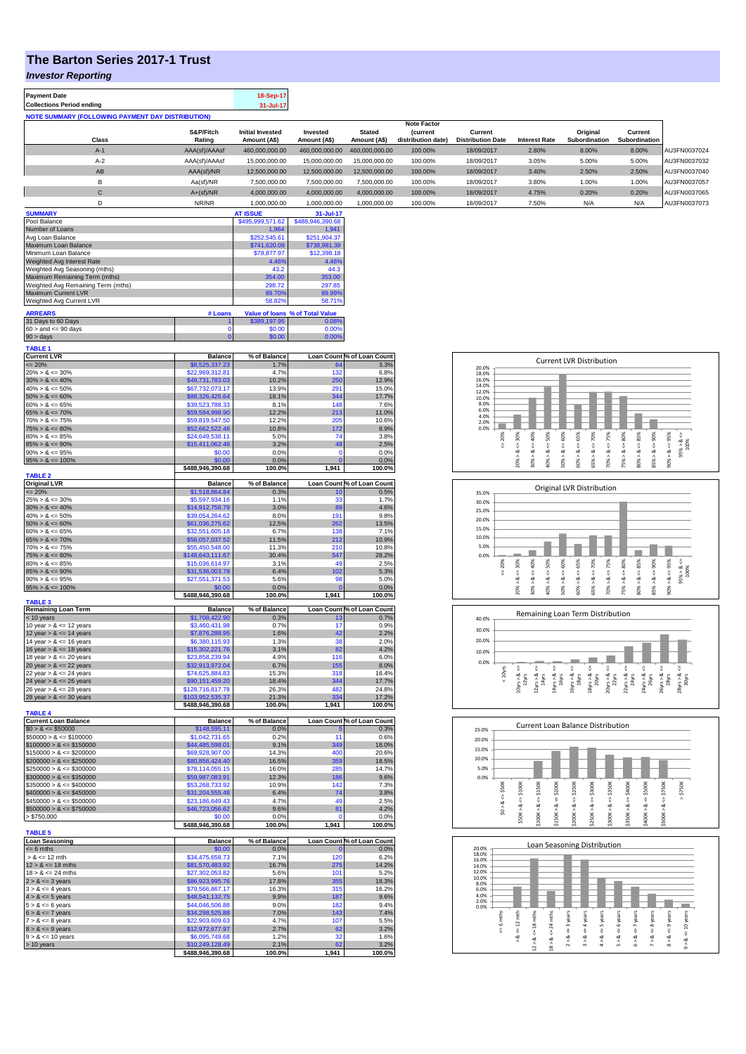## **The Barton Series 2017-1 Trust**

*Investor Reporting*

**Payment Date 18-Sep-17 Collections Period ending** 

**NOTE SUMMARY (FOLLOWING PAYMENT DAY DISTRIBUTION)**

|                |               |                         |                |                | <b>Note Factor</b> |                          |                      |                      |                      |              |
|----------------|---------------|-------------------------|----------------|----------------|--------------------|--------------------------|----------------------|----------------------|----------------------|--------------|
|                | S&P/Fitch     | <b>Initial Invested</b> | Invested       | <b>Stated</b>  | <b>Current</b>     | Current                  |                      | Original             | Current              |              |
| Class          | Rating        | Amount (A\$)            | Amount (A\$)   | Amount (A\$)   | distribution date) | <b>Distribution Date</b> | <b>Interest Rate</b> | <b>Subordination</b> | <b>Subordination</b> |              |
| $A-1$          | AAA(sf)/AAAsf | 460,000,000.00          | 460.000.000.00 | 460,000,000,00 | 100.00%            | 18/09/2017               | 2.80%                | 8.00%                | 8.00%                | AU3FN0037024 |
| $A-2$          | AAA(sf)/AAAsf | 15,000,000.00           | 15,000,000.00  | 15,000,000,00  | 100.00%            | 18/09/2017               | 3.05%                | 5.00%                | 5.00%                | AU3FN0037032 |
| AB             | AAA(sf)/NR    | 12,500,000.00           | 12,500,000.00  | 12.500.000.00  | 100.00%            | 18/09/2017               | 3.40%                | 2.50%                | 2.50%                | AU3FN0037040 |
| в              | Aa(sf)/NR     | 7,500,000.00            | 7,500,000.00   | 7,500,000.00   | 100.00%            | 18/09/2017               | 3.80%                | 1.00%                | 1.00%                | AU3FN0037057 |
| $\mathsf{C}$   | $A+(sf)/NR$   | 4,000,000.00            | 4,000,000.00   | 4.000.000.00   | 100.00%            | 18/09/2017               | 4.75%                | 0.20%                | 0.20%                | AU3FN0037065 |
| n              | NR/NR         | 1,000,000.00            | 1,000,000.00   | 1,000,000.00   | 100.00%            | 18/09/2017               | 7.50%                | N/A                  | N/A                  | AU3FN0037073 |
| <b>SUMMARY</b> |               | <b>AT ISSUE</b>         | 31-Jul-17      |                |                    |                          |                      |                      |                      |              |

| Pool Balance                       |             | \$495,999,571.62 | \$488,946,390.68                       |
|------------------------------------|-------------|------------------|----------------------------------------|
| Number of Loans                    |             | 1.964            | 1.941                                  |
| Avg Loan Balance                   |             | \$252,545.61     | \$251.904.37                           |
| Maximum Loan Balance               |             | \$741,620.09     | \$738,981.39                           |
| Minimum Loan Balance               | \$78,877.97 | \$12,398.18      |                                        |
| Weighted Avg Interest Rate         | 4.46%       | 4.46%            |                                        |
| Weighted Avg Seasoning (mths)      | 43.2        | 44.3             |                                        |
| Maximum Remaining Term (mths)      | 354.00      | 353.00           |                                        |
| Weighted Avg Remaining Term (mths) | 298.72      | 297.85           |                                        |
| Maximum Current LVR                | 89.70%      | 89.99%           |                                        |
| Weighted Avg Current LVR           |             | 58.82%           | 58.71%                                 |
| <b>ARREARS</b>                     | # Loans     |                  | <b>Value of loans % of Total Value</b> |
| 31 Days to 60 Days                 |             | \$389,197.95     | 0.08%                                  |
| $60 >$ and $\leq 90$ days          |             | \$0.00           | 0.00%                                  |
| $90 > \text{davs}$                 |             | \$0.00           | 0.00%                                  |

| TABLE 1                                                                                                           |                                    |               |                |                            |
|-------------------------------------------------------------------------------------------------------------------|------------------------------------|---------------|----------------|----------------------------|
| Current LVR<br><= 20%<br>20% > & <= 30%                                                                           | <b>Balance</b>                     | % of Balance  |                | Loan Count % of Loan Count |
|                                                                                                                   | \$8,525,337.23<br>\$22,969,312.81  | 1.7%<br>4.7%  | 132            | 3.3%<br>6.8%               |
|                                                                                                                   | \$49,731,783.03                    | 10.2%         | 250            | 12.9%                      |
| $30\% > 8 \le 40\%$<br>$40\% > 8 \le 50\%$                                                                        | \$67,732,073.17                    | 13.9%         | 291            | 15.0%                      |
| $50\% > 8 \le 60\%$                                                                                               | \$88,326,426.64                    | 18.1%         | 344            | 17.7%                      |
| $60\% > 8 \le 65\%$                                                                                               | \$39,523,788.33                    | 8.1%          | 148            | 7.6%                       |
| $65\% > 8 \le 70\%$                                                                                               | \$59,594,998.90                    | 12.2%         | 213            | 11.0%                      |
| $70\% > 8 \le 75\%$                                                                                               | \$59,819,547.50                    | 12.2%         | 205            | 10.6%                      |
| $75\% > 8 \le 80\%$                                                                                               | \$52,662,522.48                    | 10.8%         | 172            | 8.9%                       |
| $80\% > 8 \le 85\%$                                                                                               | \$24,649,538.11                    | 5.0%          | 74             | 3.8%                       |
| $85\% > 8 \le 90\%$<br>$90\% > 8 \le 95\%$                                                                        | \$15,411,062.48<br>\$0.00          | 3.2%<br>0.0%  | 48<br>$\Omega$ | 2.5%<br>0.0%               |
| $95\% > 8 \le 100\%$                                                                                              | \$0.00                             | 0.0%          | $\Omega$       | 0.0%                       |
|                                                                                                                   | \$488,946,390.68                   | 100.0%        | 1,941          | 100.0%                     |
| <b>TABLE 2</b>                                                                                                    |                                    |               |                |                            |
| Original LVR<br>$\leq$ 20%<br>25% > & $\leq$ 30%<br>30% > & $\leq$ 40%<br>40% > & $\leq$ 50%                      | <b>Balance</b>                     | % of Balance  |                | Loan Count % of Loan Count |
|                                                                                                                   | \$1,518,864.84                     | 0.3%          | 10             | 0.5%                       |
|                                                                                                                   | \$5,597,934.16                     | 1.1%          | 33             | 1.7%                       |
|                                                                                                                   | \$14,912,758.79                    | 3.0%          | 89<br>191      | 4.6%                       |
| $50\% > 8 \le 60\%$                                                                                               | \$39,054,264.62<br>\$61,036,275.62 | 8.0%<br>12.5% | 262            | 9.8%<br>13.5%              |
| $60\% > 8 \le 65\%$                                                                                               | \$32,551,605.18                    | 6.7%          | 138            | 7.1%                       |
| $65\% > 8 \le 70\%$                                                                                               | \$56,057,037.52                    | 11.5%         | 212            | 10.9%                      |
| $70\% > 8 \le 75\%$                                                                                               | \$55,450,548.00                    | 11.3%         | 210            | 10.8%                      |
| $75\% > 8 \le 80\%$                                                                                               | \$148,643,111.67                   | 30.4%         | 547            | 28.2%                      |
| $80\% > 8 \le 85\%$                                                                                               | \$15,036,614.97                    | 3.1%          | 49             | 2.5%                       |
| $85\% > 8 \le 90\%$                                                                                               | \$31,536,003.78                    | 6.4%          | 102            | 5.3%                       |
| $90\% > 8 \le 95\%$                                                                                               | \$27,551,371.53                    | 5.6%          | 98             | 5.0%                       |
| $95\% > 8 \le 100\%$                                                                                              | \$0.00                             | 0.0%          |                | 0.0%                       |
| <b>TABLE 3</b>                                                                                                    | \$488,946,390.68                   | 100.0%        | 1,941          | 100.0%                     |
| Remaining Loan Term<br>$\le$ 10 years<br>10 year > $\&$ <= 12 years                                               | <b>Balance</b>                     | % of Balance  |                | Loan Count % of Loan Count |
|                                                                                                                   | \$1,708,422.90                     | 0.3%          | 13             | 0.7%                       |
|                                                                                                                   | \$3,460,431.98                     | 0.7%          | 17             | 0.9%                       |
| 12 year $> 8 \le 14$ years<br>14 year $> 8 \le 16$ years                                                          | \$7,876,288.95<br>\$6,380,115.93   | 1.6%<br>1.3%  | 42<br>38       | 2.2%<br>2.0%               |
| 16 year $> 8 \le 18$ years                                                                                        | \$15,302,221.76                    | 3.1%          | 82             | 4.2%                       |
| 18 year $> 8 \le 20$ years                                                                                        | \$23,858,239.94                    | 4.9%          | 116            | 6.0%                       |
| 20 year $> 8 \le 22$ years                                                                                        | \$32,913,972.04                    | 6.7%          | 155            | 8.0%                       |
| 22 year $> 8 \le 24$ years                                                                                        | \$74,625,884.83                    | 15.3%         | 318            | 16.4%                      |
| 24 year $> 8 \le 26$ years                                                                                        | \$90,151,459.20                    | 18.4%         | 344            | 17.7%                      |
| 26 year $> 8 \le 28$ years                                                                                        | \$128,716,817.78                   | 26.3%         | 482            | 24.8%                      |
| 28 year $> 8 < 30$ years                                                                                          | \$103,952,535.37                   | 21.3%         | 334            | 17.2%                      |
| <b>TABLE 4</b>                                                                                                    | \$488,946,390.68                   | 100.0%        | 1,941          | 100.0%                     |
|                                                                                                                   | <b>Balance</b>                     | % of Balance  |                | Loan Count % of Loan Count |
| Current Loan Balance<br>$$0 > 8 \le $50000$                                                                       | \$148,595.11                       | 0.0%          |                | 0.3%                       |
| $$50000 > 8 \le $100000$                                                                                          | \$1,042,731.65                     | 0.2%          | 11             | 0.6%                       |
| $$100000 > 8 \le $150000$<br>$$150000 > 8 \le $200000$<br>$$200000 > 8 \le $250000$                               | \$44,485,598.01                    | 9.1%          | 349            | 18.0%                      |
|                                                                                                                   | \$69,928,907.00                    | 14.3%         | 400            | 20.6%                      |
|                                                                                                                   | \$80,856,424.40                    | 16.5%         | 359            | 18.5%                      |
| $$250000 > 8 \leq $300000$<br>$$300000 > 8 \leq $350000$<br>$$350000 > 8 \leq $400000$                            | \$78,114,055.15                    | 16.0%         | 285            | 14.7%                      |
|                                                                                                                   |                                    |               |                |                            |
|                                                                                                                   | \$59,987,083.91                    | 12.3%         | 186            | 9.6%                       |
|                                                                                                                   | \$53,268,733.92                    | 10.9%         | 142            | 7.3%                       |
| $$400000 > 8 \le $450000$                                                                                         | \$31,204,555.48                    | 6.4%          | 74             | 3.8%                       |
| $$450000 > 8 \le $500000$                                                                                         | \$23,186,649.43                    | 4.7%          | AC             | 2.5%                       |
| $$500000 > 8 \le $750000$                                                                                         | \$46,723,056.62<br>\$0.00          | 9.6%<br>0.0%  | 81<br>O        | 4.2%<br>0.0%               |
| > \$750,000                                                                                                       | \$488,946,390.68                   | 100.0%        | 1,941          | 100.0%                     |
| <b>TABLE 5</b>                                                                                                    |                                    |               |                |                            |
| <b>Loan Seasoning</b>                                                                                             | <b>Balance</b>                     | % of Balance  |                | Loan Count % of Loan Count |
| $= 6$ mths                                                                                                        | \$0.00                             | 0.0%          | n              | 0.0%                       |
| $> 8 \le 12$ mth                                                                                                  | \$34,475,658.73<br>\$81,570,483.92 | 7.1%<br>16.7% | 120<br>275     | 6.2%<br>14.2%              |
| $12 > 8 \le 18$ mths<br>$18 > 8 \le 24$ mths                                                                      | \$27,302,053.82                    | 5.6%          | 101            | 5.2%                       |
|                                                                                                                   | \$86,923,995.76                    | 17.8%         | 355            | 18.3%                      |
| $2 > 8 \le 3$ years                                                                                               | \$79,566,867.17                    | 16.3%         | 315            | 16.2%                      |
|                                                                                                                   | \$48,541,132.75                    | 9.9%          | 187            | 9.6%                       |
|                                                                                                                   | \$44,046,506.88                    | 9.0%          | 182            | 9.4%                       |
| $3 > 8 \le 4$ years<br>$4 > 8 \le 5$ years<br>$5 > 8 \le 6$ years                                                 | \$34,298,525.88                    | 7.0%          | 143            | 7.4%                       |
|                                                                                                                   | \$22,903,609.63                    | 4.7%          | 107            | 5.5%                       |
|                                                                                                                   | \$12,972,677.97                    | 2.7%          | 62             | 3.2%                       |
| $6 > 8 \le 7$ years<br>$7 > 8 \le 8$ years<br>$8 > 8 \le 9$ years<br>$9 > 8 \le 10$ years<br>$> 10 \text{ years}$ | \$6,095,749.68<br>\$10,249,128.49  | 1.2%<br>2.1%  | 32<br>62       | 1.6%<br>3.2%               |









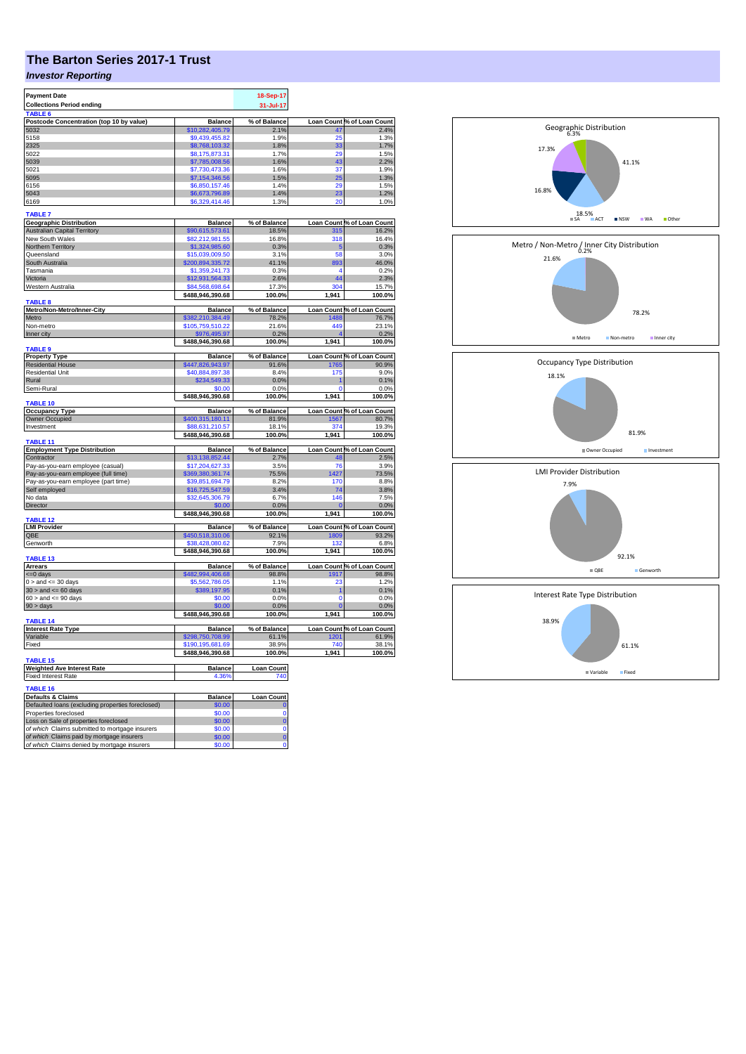## **The Barton Series 2017-1 Trust**

## *Investor Reporting*

| <b>Payment Date</b>                               |                  | 18-Sep-17         |                |                            |
|---------------------------------------------------|------------------|-------------------|----------------|----------------------------|
|                                                   |                  |                   |                |                            |
| <b>Collections Period ending</b>                  |                  | 31-Jul-17         |                |                            |
| <b>TABLE 6</b>                                    |                  |                   |                |                            |
| Postcode Concentration (top 10 by value)          | <b>Balance</b>   | % of Balance      |                | Loan Count % of Loan Count |
| 5032                                              | \$10,282,405.79  | 2.1%              | 47             | 2.4%                       |
| 5158                                              | \$9,439,455.82   | 1.9%              | 25             | 1.3%                       |
| 2325                                              | \$8,768,103.32   | 1.8%              | 33             | 1.7%                       |
| 5022                                              | \$8,175,873.31   | 1.7%              | 29             | 1.5%                       |
| 5039                                              |                  | 1.6%              | 43             | 2.2%                       |
|                                                   | \$7,785,008.56   |                   |                |                            |
| 5021                                              | \$7,730,473.36   | 1.6%              | 37             | 1.9%                       |
| 5095                                              | \$7,154,346.56   | 1.5%              | 25             | 1.3%                       |
| 6156                                              | \$6,850,157.46   | 1.4%              | 29             | 1.5%                       |
| 5043                                              | \$6,673,796.89   | 1.4%              | 23             | 1.2%                       |
| 6169                                              | \$6,329,414.46   | 1.3%              | 20             | 1.0%                       |
|                                                   |                  |                   |                |                            |
| <b>TABLE 7</b>                                    |                  |                   |                |                            |
| <b>Geographic Distribution</b>                    | <b>Balance</b>   | % of Balance      |                | Loan Count % of Loan Count |
| <b>Australian Capital Territory</b>               | \$90,615,573.61  | 18.5%             | 315            | 16.2%                      |
| New South Wales                                   | \$82,212,981.55  | 16.8%             | 318            | 16.4%                      |
| Northern Territory                                |                  |                   |                |                            |
|                                                   | \$1,324,985.60   | 0.3%              | 5              | 0.3%                       |
| Queensland                                        | \$15,039,009.50  | 3.1%              | 58             | 3.0%                       |
| South Australia                                   | \$200,894,335.72 | 41.1%             | 893            | 46.0%                      |
| Tasmania                                          | \$1,359,241.73   | 0.3%              | 4              | 0.2%                       |
| Victoria                                          | \$12,931,564.33  | 2.6%              | 44             | 2.3%                       |
| Western Australia                                 | \$84,568,698.64  | 17.3%             | 304            | 15.7%                      |
|                                                   | \$488,946,390.68 | 100.0%            | 1,941          | 100.0%                     |
| <b>TABLE 8</b>                                    |                  |                   |                |                            |
| Metro/Non-Metro/Inner-City                        | <b>Balance</b>   | % of Balance      |                | Loan Count % of Loan Count |
| Metro                                             |                  |                   |                | 76.7%                      |
|                                                   | \$382,210,384.49 | 78.2%             | 1488           |                            |
| Non-metro                                         | \$105,759,510.22 | 21.6%             | 449            | 23.1%                      |
| Inner city                                        | \$976,495.97     | 0.2%              | ø              | 0.2%                       |
|                                                   | \$488,946,390.68 | 100.0%            | 1,941          | 100.0%                     |
| <b>TABLE 9</b>                                    |                  |                   |                |                            |
| <b>Property Type</b>                              | <b>Balance</b>   | % of Balance      |                | Loan Count % of Loan Count |
| <b>Residential House</b>                          | \$447,826,943.97 | 91.6%             | 1765           | 90.9%                      |
| <b>Residential Unit</b>                           | \$40,884,897.38  | 8.4%              | 175            | 9.0%                       |
| Rural                                             | \$234,549.33     | 0.0%              |                | 0.1%                       |
| Semi-Rural                                        | \$0.00           | 0.0%              | $\Omega$       | 0.0%                       |
|                                                   |                  | 100.0%            | 1,941          | 100.0%                     |
| TABLE 10                                          | \$488,946,390.68 |                   |                |                            |
| <b>Occupancy Type</b>                             | <b>Balance</b>   | % of Balance      |                | Loan Count % of Loan Count |
|                                                   | \$400,315,180.11 | 81.9%             |                | 80.7%                      |
| Owner Occupied                                    |                  |                   | 1567           |                            |
| Investment                                        | \$88,631,210.57  | 18.1%             | 374            | 19.3%                      |
|                                                   | \$488,946,390.68 | 100.0%            | 1,941          | 100.0%                     |
| TABLE <sub>11</sub>                               |                  |                   |                |                            |
| <b>Employment Type Distribution</b>               | <b>Balance</b>   | % of Balance      |                | Loan Count % of Loan Count |
| Contractor                                        | \$13,138,852.44  | 2.7%              | 48             | 2.5%                       |
| Pay-as-you-earn employee (casual)                 | \$17,204,627.33  | 3.5%              | 76             | 3.9%                       |
| Pay-as-you-earn employee (full time)              | \$369,380,361.74 | 75.5%             | 1427           | 73.5%                      |
| Pay-as-you-earn employee (part time)              | \$39,851,694.79  | 8.2%              | 170            | 8.8%                       |
| Self employed                                     | \$16,725,547.59  | 3.4%              | 74             | 3.8%                       |
| No data                                           | \$32,645,306.79  | 6.7%              | 146            | 7.5%                       |
|                                                   |                  |                   |                |                            |
| <b>Director</b>                                   | \$0.00           | 0.0%              | $\overline{0}$ | 0.0%                       |
|                                                   | \$488,946,390.68 | 100.0%            | 1,941          | 100.0%                     |
| TABLE <sub>12</sub>                               |                  |                   |                |                            |
| <b>LMI Provider</b>                               | <b>Balance</b>   | % of Balance      |                | Loan Count % of Loan Count |
| QBE                                               | \$450,518,310.06 | 92.1%             | 1809           | 93.2%                      |
| Genworth                                          | \$38,428,080.62  | 7.9%              | 132            | 6.8%                       |
|                                                   | \$488,946,390.68 | 100.0%            | 1,941          | 100.0%                     |
| TABLE 13                                          |                  |                   |                |                            |
| <b>Arrears</b>                                    | <b>Balance</b>   | % of Balance      |                | Loan Count % of Loan Count |
| <= 0 days                                         | \$482,994,406.68 | 98.8%             | 1917           | 98.8%                      |
| $0 >$ and $\leq 30$ days                          | \$5,562,786.05   | 1.1%              | 23             | 1.2%                       |
| $30 >$ and $\leq 60$ days                         | \$389,197.95     | 0.1%              | 1              | 0.1%                       |
| $60 >$ and $\leq 90$ days                         | \$0.00           | 0.0%              | $\mathbf 0$    | 0.0%                       |
|                                                   | \$0.00           |                   |                |                            |
| $90 > \text{days}$                                |                  | 0.0%              |                | 0.0%                       |
|                                                   | \$488,946,390.68 | 100.0%            | 1,941          | 100.0%                     |
| <b>TABLE 14</b>                                   |                  |                   |                |                            |
| <b>Interest Rate Type</b>                         | <b>Balance</b>   | % of Balance      |                | Loan Count % of Loan Count |
| Variable                                          | \$298,750,708.99 | 61.1%             | 1201           | 61.9%                      |
| Fixed                                             | \$190,195,681.69 | 38.9%             | 740            | 38.1%                      |
|                                                   | \$488,946,390.68 | 100.0%            | 1,941          | 100.0%                     |
| <b>TABLE 15</b>                                   |                  |                   |                |                            |
| <b>Weighted Ave Interest Rate</b>                 | <b>Balance</b>   | <b>Loan Count</b> |                |                            |
| <b>Fixed Interest Rate</b>                        | 4.36%            | 740               |                |                            |
|                                                   |                  |                   |                |                            |
| TABLE 16                                          |                  |                   |                |                            |
| <b>Defaults &amp; Claims</b>                      | <b>Balance</b>   | <b>Loan Count</b> |                |                            |
| Defaulted loans (excluding properties foreclosed) | \$0.00           | 0                 |                |                            |
| Properties foreclosed                             | \$0.00           | 0                 |                |                            |
| Loss on Sale of properties foreclosed             | \$0.00           | $\bf{0}$          |                |                            |
| of which Claims submitted to mortgage insurers    | \$0.00           | $\mathbf 0$       |                |                            |
|                                                   |                  |                   |                |                            |
| of which Claims paid by mortgage insurers         | \$0.00           | $\bf{0}$          |                |                            |
| of which Claims denied by mortgage insurers       | \$0.00           | 0                 |                |                            |